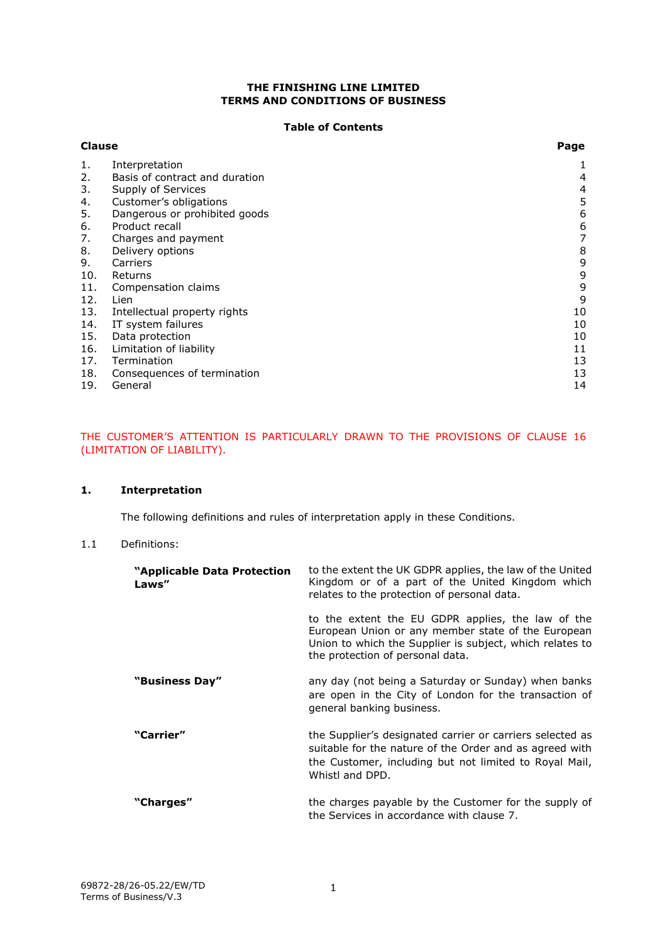### **THE FINISHING LINE LIMITED TERMS AND CONDITIONS OF BUSINESS**

#### **Table of Contents**

| <b>Clause</b> |                                | Page |
|---------------|--------------------------------|------|
| 1.            | Interpretation                 |      |
| 2.            | Basis of contract and duration | 4    |
| 3.            | Supply of Services             | 4    |
| 4.            | Customer's obligations         | 5    |
| 5.            | Dangerous or prohibited goods  | 6    |
| 6.            | Product recall                 | 6    |
| 7.            | Charges and payment            | 7    |
| 8.            | Delivery options               | 8    |
| 9.            | Carriers                       | 9    |
| 10.           | Returns                        | 9    |
| 11.           | Compensation claims            | 9    |
| 12.           | Lien                           | 9    |
| 13.           | Intellectual property rights   | 10   |
| 14.           | IT system failures             | 10   |
| 15.           | Data protection                | 10   |
| 16.           | Limitation of liability        | 11   |
| 17.           | Termination                    | 13   |
| 18.           | Consequences of termination    | 13   |
| 19.           | General                        | 14   |

# THE CUSTOMER'S ATTENTION IS PARTICULARLY DRAWN TO THE PROVISIONS OF CLAUSE [16](#page-10-0) (LIMITATION OF LIABILITY).

## <span id="page-0-0"></span>**1. Interpretation**

The following definitions and rules of interpretation apply in these Conditions.

### 1.1 Definitions:

| "Applicable Data Protection<br>Laws" | to the extent the UK GDPR applies, the law of the United<br>Kingdom or of a part of the United Kingdom which<br>relates to the protection of personal data.                                             |
|--------------------------------------|---------------------------------------------------------------------------------------------------------------------------------------------------------------------------------------------------------|
|                                      | to the extent the EU GDPR applies, the law of the<br>European Union or any member state of the European<br>Union to which the Supplier is subject, which relates to<br>the protection of personal data. |
| "Business Day"                       | any day (not being a Saturday or Sunday) when banks<br>are open in the City of London for the transaction of<br>general banking business.                                                               |
| "Carrier"                            | the Supplier's designated carrier or carriers selected as<br>suitable for the nature of the Order and as agreed with<br>the Customer, including but not limited to Royal Mail,<br>Whistl and DPD.       |
| "Charges"                            | the charges payable by the Customer for the supply of<br>the Services in accordance with clause 7.                                                                                                      |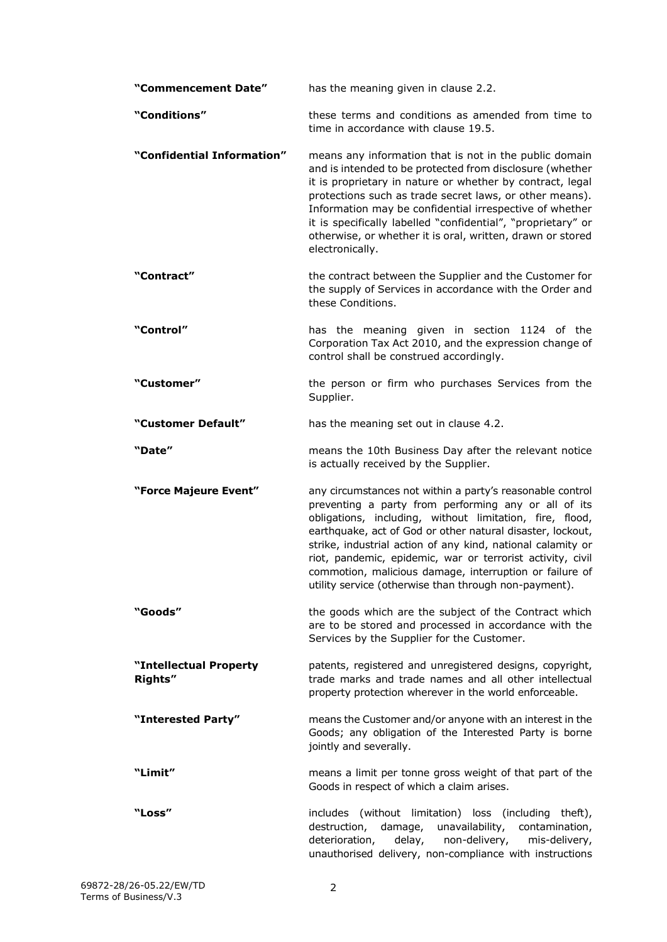| "Commencement Date"               | has the meaning given in clause 2.2.                                                                                                                                                                                                                                                                                                                                                                                                                                                         |
|-----------------------------------|----------------------------------------------------------------------------------------------------------------------------------------------------------------------------------------------------------------------------------------------------------------------------------------------------------------------------------------------------------------------------------------------------------------------------------------------------------------------------------------------|
| "Conditions"                      | these terms and conditions as amended from time to<br>time in accordance with clause 19.5.                                                                                                                                                                                                                                                                                                                                                                                                   |
| "Confidential Information"        | means any information that is not in the public domain<br>and is intended to be protected from disclosure (whether<br>it is proprietary in nature or whether by contract, legal<br>protections such as trade secret laws, or other means).<br>Information may be confidential irrespective of whether<br>it is specifically labelled "confidential", "proprietary" or<br>otherwise, or whether it is oral, written, drawn or stored<br>electronically.                                       |
| "Contract"                        | the contract between the Supplier and the Customer for<br>the supply of Services in accordance with the Order and<br>these Conditions.                                                                                                                                                                                                                                                                                                                                                       |
| "Control"                         | has the meaning given in section 1124 of the<br>Corporation Tax Act 2010, and the expression change of<br>control shall be construed accordingly.                                                                                                                                                                                                                                                                                                                                            |
| "Customer"                        | the person or firm who purchases Services from the<br>Supplier.                                                                                                                                                                                                                                                                                                                                                                                                                              |
| "Customer Default"                | has the meaning set out in clause 4.2.                                                                                                                                                                                                                                                                                                                                                                                                                                                       |
| "Date"                            | means the 10th Business Day after the relevant notice<br>is actually received by the Supplier.                                                                                                                                                                                                                                                                                                                                                                                               |
| "Force Majeure Event"             | any circumstances not within a party's reasonable control<br>preventing a party from performing any or all of its<br>obligations, including, without limitation, fire, flood,<br>earthquake, act of God or other natural disaster, lockout,<br>strike, industrial action of any kind, national calamity or<br>riot, pandemic, epidemic, war or terrorist activity, civil<br>commotion, malicious damage, interruption or failure of<br>utility service (otherwise than through non-payment). |
| "Goods"                           | the goods which are the subject of the Contract which<br>are to be stored and processed in accordance with the<br>Services by the Supplier for the Customer.                                                                                                                                                                                                                                                                                                                                 |
| "Intellectual Property<br>Rights" | patents, registered and unregistered designs, copyright,<br>trade marks and trade names and all other intellectual<br>property protection wherever in the world enforceable.                                                                                                                                                                                                                                                                                                                 |
| "Interested Party"                | means the Customer and/or anyone with an interest in the<br>Goods; any obligation of the Interested Party is borne<br>jointly and severally.                                                                                                                                                                                                                                                                                                                                                 |
| "Limit"                           | means a limit per tonne gross weight of that part of the<br>Goods in respect of which a claim arises.                                                                                                                                                                                                                                                                                                                                                                                        |
| "Loss"                            | includes (without limitation) loss (including theft),<br>destruction, damage,<br>unavailability, contamination,<br>non-delivery,<br>deterioration,<br>delay,<br>mis-delivery,<br>unauthorised delivery, non-compliance with instructions                                                                                                                                                                                                                                                     |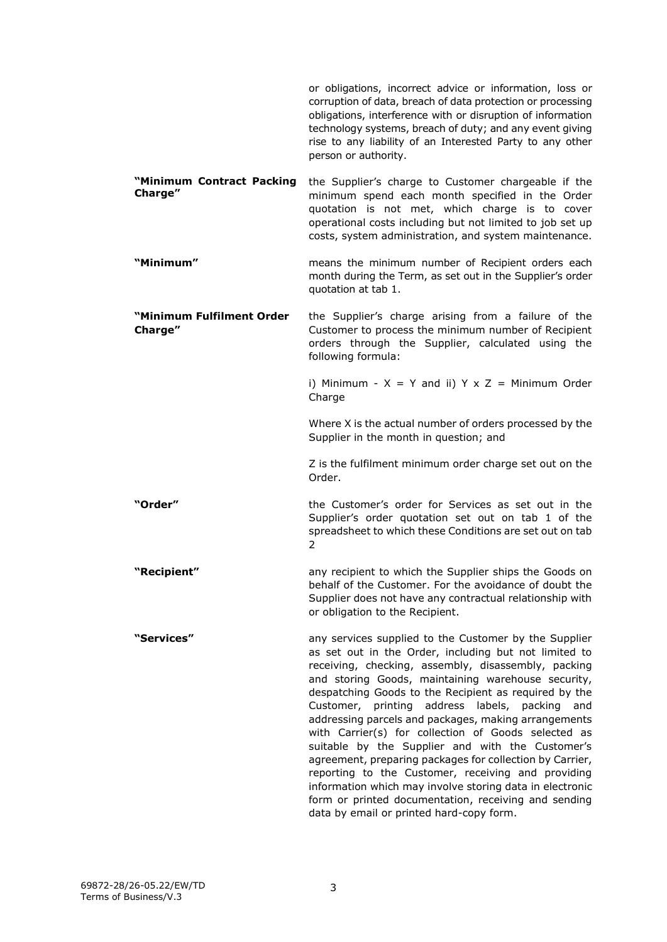|                                      | or obligations, incorrect advice or information, loss or<br>corruption of data, breach of data protection or processing<br>obligations, interference with or disruption of information<br>technology systems, breach of duty; and any event giving<br>rise to any liability of an Interested Party to any other<br>person or authority. |
|--------------------------------------|-----------------------------------------------------------------------------------------------------------------------------------------------------------------------------------------------------------------------------------------------------------------------------------------------------------------------------------------|
| "Minimum Contract Packing<br>Charge" | the Supplier's charge to Customer chargeable if the<br>minimum spend each month specified in the Order<br>quotation is not met, which charge is to cover<br>operational costs including but not limited to job set up<br>costs, system administration, and system maintenance.                                                          |
| "Minimum"                            | means the minimum number of Recipient orders each<br>month during the Term, as set out in the Supplier's order<br>quotation at tab 1.                                                                                                                                                                                                   |
| "Minimum Fulfilment Order<br>Charge" | the Supplier's charge arising from a failure of the<br>Customer to process the minimum number of Recipient<br>orders through the Supplier, calculated using the<br>following formula:                                                                                                                                                   |
|                                      | i) Minimum - $X = Y$ and ii) $Y \times Z =$ Minimum Order<br>Charge                                                                                                                                                                                                                                                                     |
|                                      | Where X is the actual number of orders processed by the<br>Supplier in the month in question; and                                                                                                                                                                                                                                       |
|                                      | Z is the fulfilment minimum order charge set out on the<br>Order.                                                                                                                                                                                                                                                                       |
| "Order"                              | the Customer's order for Services as set out in the<br>Supplier's order quotation set out on tab 1 of the<br>spreadsheet to which these Conditions are set out on tab<br>2                                                                                                                                                              |
| "Recipient"                          | any recipient to which the Supplier ships the Goods on<br>behalf of the Customer. For the avoidance of doubt the<br>Supplier does not have any contractual relationship with<br>or obligation to the Recipient.                                                                                                                         |
| "Services"                           | any services supplied to the Customer by the Supplier<br>as set out in the Order, including but not limited to<br>receiving, checking, assembly, disassembly, packing<br>and storing Goods, maintaining warehouse security,<br>despatching Goods to the Recipient as required by the                                                    |

Customer, printing address labels, packing and addressing parcels and packages, making arrangements with Carrier(s) for collection of Goods selected as suitable by the Supplier and with the Customer's agreement, preparing packages for collection by Carrier, reporting to the Customer, receiving and providing information which may involve storing data in electronic form or printed documentation, receiving and sending

data by email or printed hard-copy form.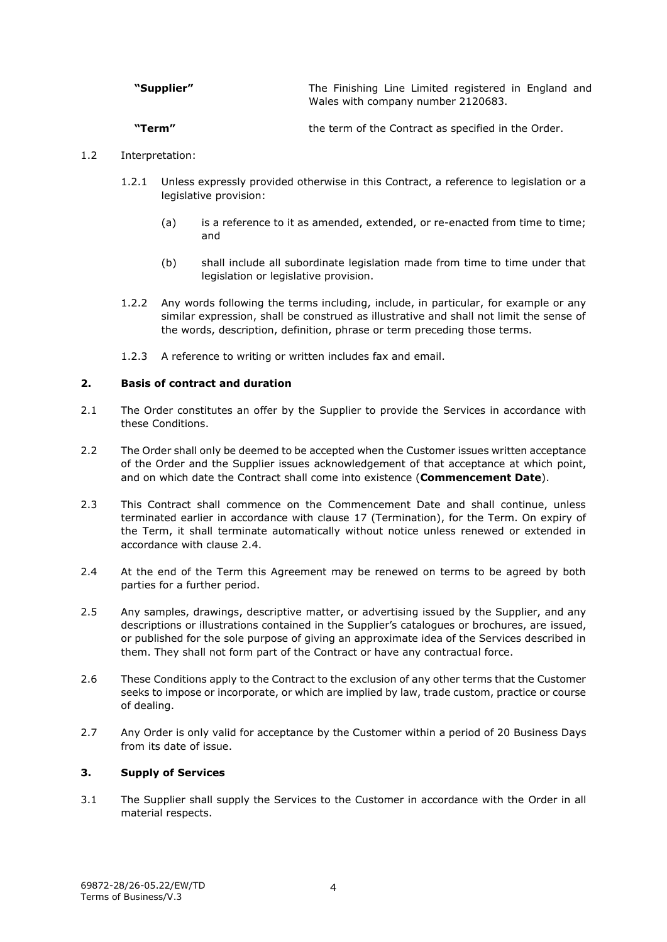| "Supplier" | The Finishing Line Limited registered in England and |
|------------|------------------------------------------------------|
|            | Wales with company number 2120683.                   |

**"Term"** the term of the Contract as specified in the Order.

# 1.2 Interpretation:

- 1.2.1 Unless expressly provided otherwise in this Contract, a reference to legislation or a legislative provision:
	- (a) is a reference to it as amended, extended, or re-enacted from time to time; and
	- (b) shall include all subordinate legislation made from time to time under that legislation or legislative provision.
- 1.2.2 Any words following the terms including, include, in particular, for example or any similar expression, shall be construed as illustrative and shall not limit the sense of the words, description, definition, phrase or term preceding those terms.
- 1.2.3 A reference to writing or written includes fax and email.

## <span id="page-3-0"></span>**2. Basis of contract and duration**

- 2.1 The Order constitutes an offer by the Supplier to provide the Services in accordance with these Conditions.
- <span id="page-3-2"></span>2.2 The Order shall only be deemed to be accepted when the Customer issues written acceptance of the Order and the Supplier issues acknowledgement of that acceptance at which point, and on which date the Contract shall come into existence (**Commencement Date**).
- 2.3 This Contract shall commence on the Commencement Date and shall continue, unless terminated earlier in accordance with clause [17](#page-12-0) (Termination), for the Term. On expiry of the Term, it shall terminate automatically without notice unless renewed or extended in accordance with clause [2.4.](#page-3-3)
- <span id="page-3-3"></span>2.4 At the end of the Term this Agreement may be renewed on terms to be agreed by both parties for a further period.
- 2.5 Any samples, drawings, descriptive matter, or advertising issued by the Supplier, and any descriptions or illustrations contained in the Supplier's catalogues or brochures, are issued, or published for the sole purpose of giving an approximate idea of the Services described in them. They shall not form part of the Contract or have any contractual force.
- 2.6 These Conditions apply to the Contract to the exclusion of any other terms that the Customer seeks to impose or incorporate, or which are implied by law, trade custom, practice or course of dealing.
- 2.7 Any Order is only valid for acceptance by the Customer within a period of 20 Business Days from its date of issue.

# <span id="page-3-1"></span>**3. Supply of Services**

3.1 The Supplier shall supply the Services to the Customer in accordance with the Order in all material respects.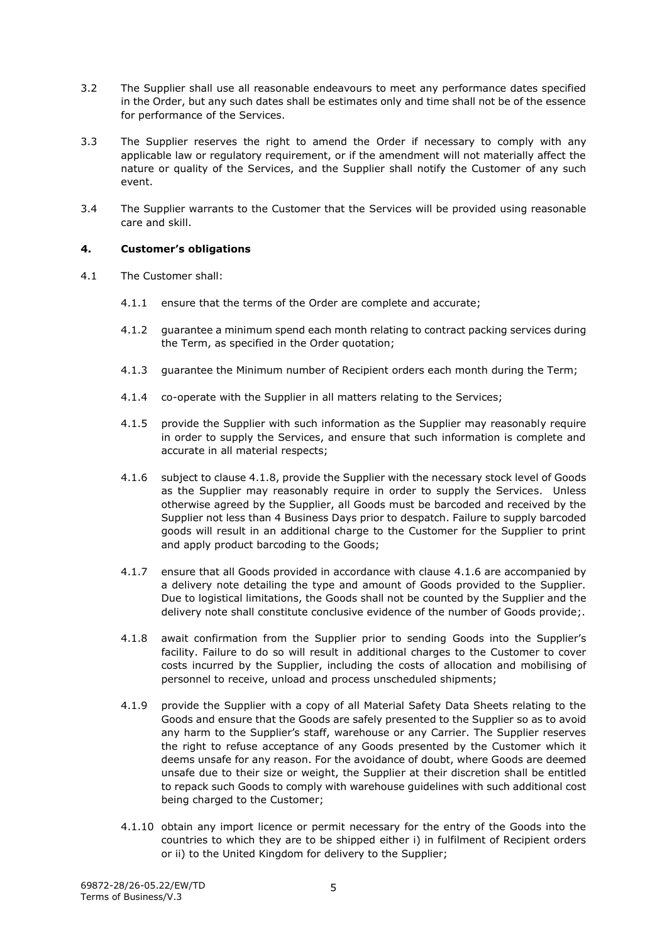- 3.2 The Supplier shall use all reasonable endeavours to meet any performance dates specified in the Order, but any such dates shall be estimates only and time shall not be of the essence for performance of the Services.
- 3.3 The Supplier reserves the right to amend the Order if necessary to comply with any applicable law or regulatory requirement, or if the amendment will not materially affect the nature or quality of the Services, and the Supplier shall notify the Customer of any such event.
- 3.4 The Supplier warrants to the Customer that the Services will be provided using reasonable care and skill.

# <span id="page-4-0"></span>**4. Customer's obligations**

- <span id="page-4-2"></span><span id="page-4-1"></span>4.1 The Customer shall:
	- 4.1.1 ensure that the terms of the Order are complete and accurate;
	- 4.1.2 guarantee a minimum spend each month relating to contract packing services during the Term, as specified in the Order quotation;
	- 4.1.3 guarantee the Minimum number of Recipient orders each month during the Term;
	- 4.1.4 co-operate with the Supplier in all matters relating to the Services;
	- 4.1.5 provide the Supplier with such information as the Supplier may reasonably require in order to supply the Services, and ensure that such information is complete and accurate in all material respects;
	- 4.1.6 subject to clause [4.1.8,](#page-4-1) provide the Supplier with the necessary stock level of Goods as the Supplier may reasonably require in order to supply the Services. Unless otherwise agreed by the Supplier, all Goods must be barcoded and received by the Supplier not less than 4 Business Days prior to despatch. Failure to supply barcoded goods will result in an additional charge to the Customer for the Supplier to print and apply product barcoding to the Goods;
	- 4.1.7 ensure that all Goods provided in accordance with clause 4.1.6 are accompanied by a delivery note detailing the type and amount of Goods provided to the Supplier. Due to logistical limitations, the Goods shall not be counted by the Supplier and the delivery note shall constitute conclusive evidence of the number of Goods provide;.
	- 4.1.8 await confirmation from the Supplier prior to sending Goods into the Supplier's facility. Failure to do so will result in additional charges to the Customer to cover costs incurred by the Supplier, including the costs of allocation and mobilising of personnel to receive, unload and process unscheduled shipments;
	- 4.1.9 provide the Supplier with a copy of all Material Safety Data Sheets relating to the Goods and ensure that the Goods are safely presented to the Supplier so as to avoid any harm to the Supplier's staff, warehouse or any Carrier. The Supplier reserves the right to refuse acceptance of any Goods presented by the Customer which it deems unsafe for any reason. For the avoidance of doubt, where Goods are deemed unsafe due to their size or weight, the Supplier at their discretion shall be entitled to repack such Goods to comply with warehouse guidelines with such additional cost being charged to the Customer;
	- 4.1.10 obtain any import licence or permit necessary for the entry of the Goods into the countries to which they are to be shipped either i) in fulfilment of Recipient orders or ii) to the United Kingdom for delivery to the Supplier;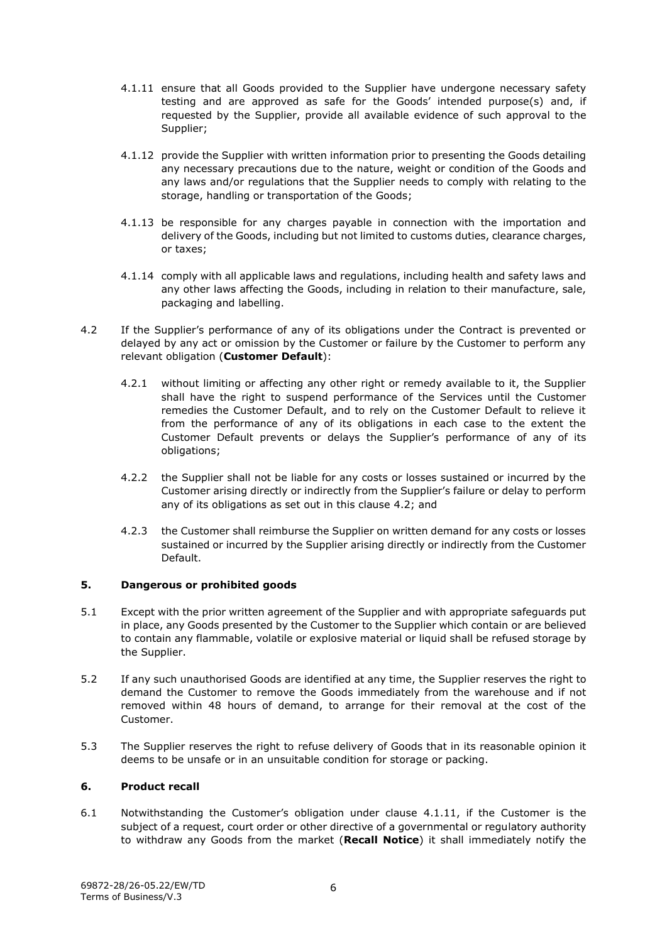- <span id="page-5-3"></span>4.1.11 ensure that all Goods provided to the Supplier have undergone necessary safety testing and are approved as safe for the Goods' intended purpose(s) and, if requested by the Supplier, provide all available evidence of such approval to the Supplier;
- 4.1.12 provide the Supplier with written information prior to presenting the Goods detailing any necessary precautions due to the nature, weight or condition of the Goods and any laws and/or regulations that the Supplier needs to comply with relating to the storage, handling or transportation of the Goods;
- 4.1.13 be responsible for any charges payable in connection with the importation and delivery of the Goods, including but not limited to customs duties, clearance charges, or taxes;
- 4.1.14 comply with all applicable laws and regulations, including health and safety laws and any other laws affecting the Goods, including in relation to their manufacture, sale, packaging and labelling.
- <span id="page-5-2"></span>4.2 If the Supplier's performance of any of its obligations under the Contract is prevented or delayed by any act or omission by the Customer or failure by the Customer to perform any relevant obligation (**Customer Default**):
	- 4.2.1 without limiting or affecting any other right or remedy available to it, the Supplier shall have the right to suspend performance of the Services until the Customer remedies the Customer Default, and to rely on the Customer Default to relieve it from the performance of any of its obligations in each case to the extent the Customer Default prevents or delays the Supplier's performance of any of its obligations;
	- 4.2.2 the Supplier shall not be liable for any costs or losses sustained or incurred by the Customer arising directly or indirectly from the Supplier's failure or delay to perform any of its obligations as set out in this clause [4.2;](#page-5-2) and
	- 4.2.3 the Customer shall reimburse the Supplier on written demand for any costs or losses sustained or incurred by the Supplier arising directly or indirectly from the Customer Default.

# <span id="page-5-0"></span>**5. Dangerous or prohibited goods**

- 5.1 Except with the prior written agreement of the Supplier and with appropriate safeguards put in place, any Goods presented by the Customer to the Supplier which contain or are believed to contain any flammable, volatile or explosive material or liquid shall be refused storage by the Supplier.
- 5.2 If any such unauthorised Goods are identified at any time, the Supplier reserves the right to demand the Customer to remove the Goods immediately from the warehouse and if not removed within 48 hours of demand, to arrange for their removal at the cost of the Customer.
- 5.3 The Supplier reserves the right to refuse delivery of Goods that in its reasonable opinion it deems to be unsafe or in an unsuitable condition for storage or packing.

# <span id="page-5-1"></span>**6. Product recall**

6.1 Notwithstanding the Customer's obligation under clause [4.1.11,](#page-5-3) if the Customer is the subject of a request, court order or other directive of a governmental or regulatory authority to withdraw any Goods from the market (**Recall Notice**) it shall immediately notify the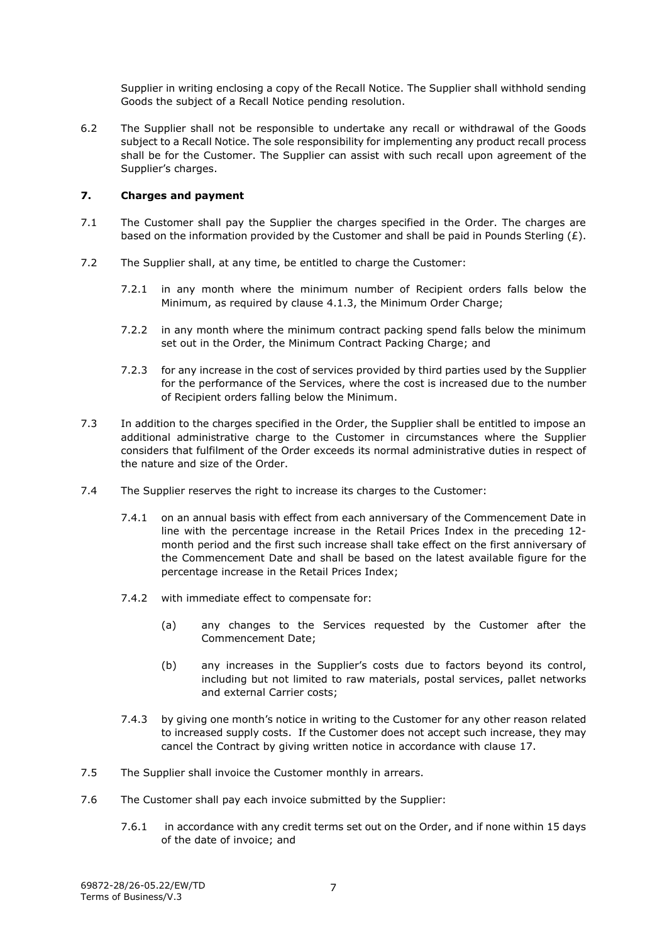Supplier in writing enclosing a copy of the Recall Notice. The Supplier shall withhold sending Goods the subject of a Recall Notice pending resolution.

6.2 The Supplier shall not be responsible to undertake any recall or withdrawal of the Goods subject to a Recall Notice. The sole responsibility for implementing any product recall process shall be for the Customer. The Supplier can assist with such recall upon agreement of the Supplier's charges.

# <span id="page-6-0"></span>**7. Charges and payment**

- 7.1 The Customer shall pay the Supplier the charges specified in the Order. The charges are based on the information provided by the Customer and shall be paid in Pounds Sterling  $(E)$ .
- 7.2 The Supplier shall, at any time, be entitled to charge the Customer:
	- 7.2.1 in any month where the minimum number of Recipient orders falls below the Minimum, as required by clause [4.1.3,](#page-4-2) the Minimum Order Charge;
	- 7.2.2 in any month where the minimum contract packing spend falls below the minimum set out in the Order, the Minimum Contract Packing Charge; and
	- 7.2.3 for any increase in the cost of services provided by third parties used by the Supplier for the performance of the Services, where the cost is increased due to the number of Recipient orders falling below the Minimum.
- 7.3 In addition to the charges specified in the Order, the Supplier shall be entitled to impose an additional administrative charge to the Customer in circumstances where the Supplier considers that fulfilment of the Order exceeds its normal administrative duties in respect of the nature and size of the Order.
- 7.4 The Supplier reserves the right to increase its charges to the Customer:
	- 7.4.1 on an annual basis with effect from each anniversary of the Commencement Date in line with the percentage increase in the Retail Prices Index in the preceding 12 month period and the first such increase shall take effect on the first anniversary of the Commencement Date and shall be based on the latest available figure for the percentage increase in the Retail Prices Index;
	- 7.4.2 with immediate effect to compensate for:
		- (a) any changes to the Services requested by the Customer after the Commencement Date;
		- (b) any increases in the Supplier's costs due to factors beyond its control, including but not limited to raw materials, postal services, pallet networks and external Carrier costs;
	- 7.4.3 by giving one month's notice in writing to the Customer for any other reason related to increased supply costs. If the Customer does not accept such increase, they may cancel the Contract by giving written notice in accordance with clause 17.
- 7.5 The Supplier shall invoice the Customer monthly in arrears.
- 7.6 The Customer shall pay each invoice submitted by the Supplier:
	- 7.6.1 in accordance with any credit terms set out on the Order, and if none within 15 days of the date of invoice; and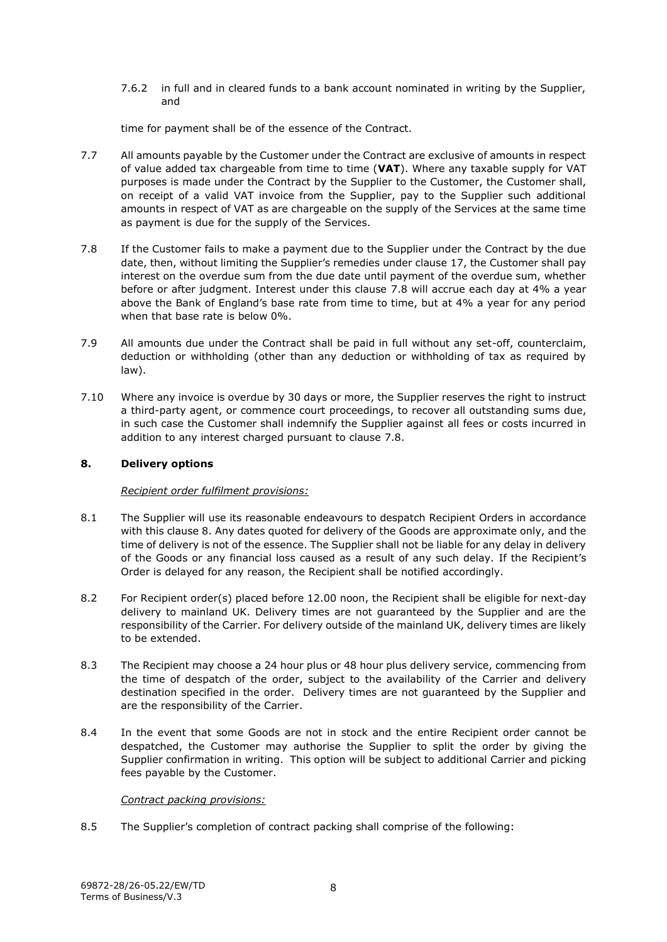7.6.2 in full and in cleared funds to a bank account nominated in writing by the Supplier, and

time for payment shall be of the essence of the Contract.

- 7.7 All amounts payable by the Customer under the Contract are exclusive of amounts in respect of value added tax chargeable from time to time (**VAT**). Where any taxable supply for VAT purposes is made under the Contract by the Supplier to the Customer, the Customer shall, on receipt of a valid VAT invoice from the Supplier, pay to the Supplier such additional amounts in respect of VAT as are chargeable on the supply of the Services at the same time as payment is due for the supply of the Services.
- <span id="page-7-1"></span>7.8 If the Customer fails to make a payment due to the Supplier under the Contract by the due date, then, without limiting the Supplier's remedies under clause [17,](#page-12-0) the Customer shall pay interest on the overdue sum from the due date until payment of the overdue sum, whether before or after judgment. Interest under this clause [7.8](#page-7-1) will accrue each day at 4% a year above the Bank of England's base rate from time to time, but at 4% a year for any period when that base rate is below 0%.
- 7.9 All amounts due under the Contract shall be paid in full without any set-off, counterclaim, deduction or withholding (other than any deduction or withholding of tax as required by law).
- 7.10 Where any invoice is overdue by 30 days or more, the Supplier reserves the right to instruct a third-party agent, or commence court proceedings, to recover all outstanding sums due, in such case the Customer shall indemnify the Supplier against all fees or costs incurred in addition to any interest charged pursuant to clause 7.8.

## <span id="page-7-0"></span>**8. Delivery options**

#### *Recipient order fulfilment provisions:*

- 8.1 The Supplier will use its reasonable endeavours to despatch Recipient Orders in accordance with this clause [8.](#page-7-0) Any dates quoted for delivery of the Goods are approximate only, and the time of delivery is not of the essence. The Supplier shall not be liable for any delay in delivery of the Goods or any financial loss caused as a result of any such delay. If the Recipient's Order is delayed for any reason, the Recipient shall be notified accordingly.
- 8.2 For Recipient order(s) placed before 12.00 noon, the Recipient shall be eligible for next-day delivery to mainland UK. Delivery times are not guaranteed by the Supplier and are the responsibility of the Carrier. For delivery outside of the mainland UK, delivery times are likely to be extended.
- 8.3 The Recipient may choose a 24 hour plus or 48 hour plus delivery service, commencing from the time of despatch of the order, subject to the availability of the Carrier and delivery destination specified in the order. Delivery times are not guaranteed by the Supplier and are the responsibility of the Carrier.
- 8.4 In the event that some Goods are not in stock and the entire Recipient order cannot be despatched, the Customer may authorise the Supplier to split the order by giving the Supplier confirmation in writing. This option will be subject to additional Carrier and picking fees payable by the Customer.

# *Contract packing provisions:*

8.5 The Supplier's completion of contract packing shall comprise of the following: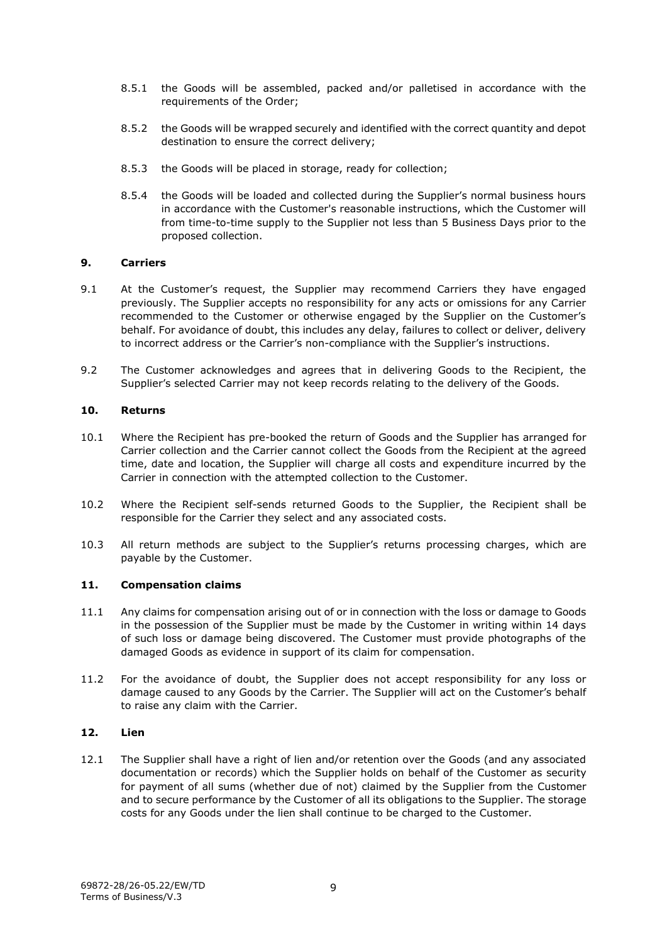- 8.5.1 the Goods will be assembled, packed and/or palletised in accordance with the requirements of the Order;
- 8.5.2 the Goods will be wrapped securely and identified with the correct quantity and depot destination to ensure the correct delivery;
- 8.5.3 the Goods will be placed in storage, ready for collection;
- 8.5.4 the Goods will be loaded and collected during the Supplier's normal business hours in accordance with the Customer's reasonable instructions, which the Customer will from time-to-time supply to the Supplier not less than 5 Business Days prior to the proposed collection.

## <span id="page-8-0"></span>**9. Carriers**

- 9.1 At the Customer's request, the Supplier may recommend Carriers they have engaged previously. The Supplier accepts no responsibility for any acts or omissions for any Carrier recommended to the Customer or otherwise engaged by the Supplier on the Customer's behalf. For avoidance of doubt, this includes any delay, failures to collect or deliver, delivery to incorrect address or the Carrier's non-compliance with the Supplier's instructions.
- 9.2 The Customer acknowledges and agrees that in delivering Goods to the Recipient, the Supplier's selected Carrier may not keep records relating to the delivery of the Goods.

#### <span id="page-8-1"></span>**10. Returns**

- 10.1 Where the Recipient has pre-booked the return of Goods and the Supplier has arranged for Carrier collection and the Carrier cannot collect the Goods from the Recipient at the agreed time, date and location, the Supplier will charge all costs and expenditure incurred by the Carrier in connection with the attempted collection to the Customer.
- 10.2 Where the Recipient self-sends returned Goods to the Supplier, the Recipient shall be responsible for the Carrier they select and any associated costs.
- 10.3 All return methods are subject to the Supplier's returns processing charges, which are payable by the Customer.

#### <span id="page-8-2"></span>**11. Compensation claims**

- 11.1 Any claims for compensation arising out of or in connection with the loss or damage to Goods in the possession of the Supplier must be made by the Customer in writing within 14 days of such loss or damage being discovered. The Customer must provide photographs of the damaged Goods as evidence in support of its claim for compensation.
- 11.2 For the avoidance of doubt, the Supplier does not accept responsibility for any loss or damage caused to any Goods by the Carrier. The Supplier will act on the Customer's behalf to raise any claim with the Carrier.

#### <span id="page-8-3"></span>**12. Lien**

12.1 The Supplier shall have a right of lien and/or retention over the Goods (and any associated documentation or records) which the Supplier holds on behalf of the Customer as security for payment of all sums (whether due of not) claimed by the Supplier from the Customer and to secure performance by the Customer of all its obligations to the Supplier. The storage costs for any Goods under the lien shall continue to be charged to the Customer.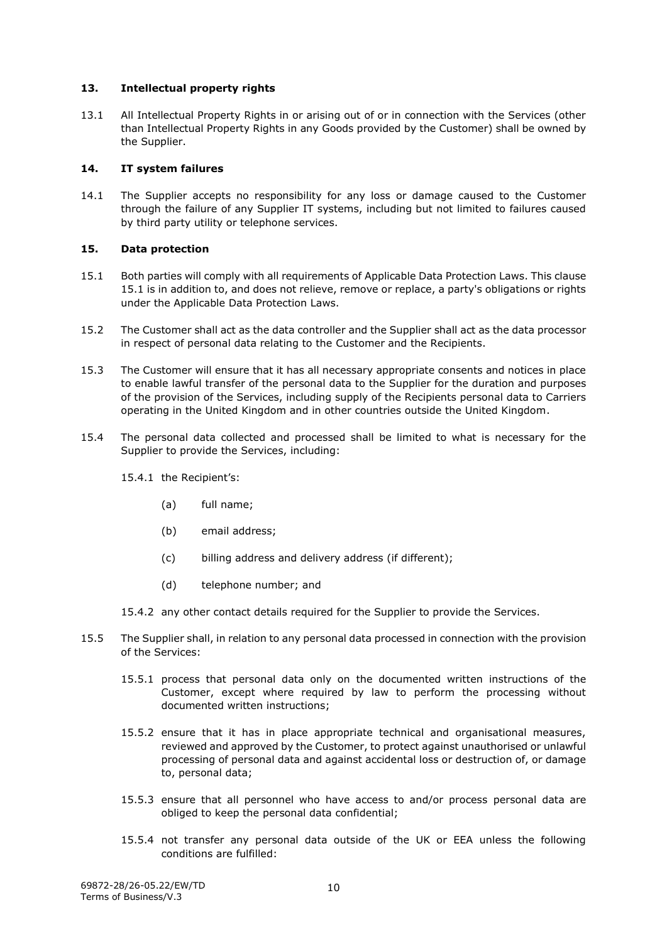## <span id="page-9-0"></span>**13. Intellectual property rights**

13.1 All Intellectual Property Rights in or arising out of or in connection with the Services (other than Intellectual Property Rights in any Goods provided by the Customer) shall be owned by the Supplier.

## <span id="page-9-1"></span>**14. IT system failures**

14.1 The Supplier accepts no responsibility for any loss or damage caused to the Customer through the failure of any Supplier IT systems, including but not limited to failures caused by third party utility or telephone services.

## <span id="page-9-2"></span>**15. Data protection**

- 15.1 Both parties will comply with all requirements of Applicable Data Protection Laws. This clause 15.1 is in addition to, and does not relieve, remove or replace, a party's obligations or rights under the Applicable Data Protection Laws.
- 15.2 The Customer shall act as the data controller and the Supplier shall act as the data processor in respect of personal data relating to the Customer and the Recipients.
- 15.3 The Customer will ensure that it has all necessary appropriate consents and notices in place to enable lawful transfer of the personal data to the Supplier for the duration and purposes of the provision of the Services, including supply of the Recipients personal data to Carriers operating in the United Kingdom and in other countries outside the United Kingdom.
- 15.4 The personal data collected and processed shall be limited to what is necessary for the Supplier to provide the Services, including:
	- 15.4.1 the Recipient's:
		- (a) full name;
		- (b) email address;
		- (c) billing address and delivery address (if different);
		- (d) telephone number; and
	- 15.4.2 any other contact details required for the Supplier to provide the Services.
- 15.5 The Supplier shall, in relation to any personal data processed in connection with the provision of the Services:
	- 15.5.1 process that personal data only on the documented written instructions of the Customer, except where required by law to perform the processing without documented written instructions;
	- 15.5.2 ensure that it has in place appropriate technical and organisational measures, reviewed and approved by the Customer, to protect against unauthorised or unlawful processing of personal data and against accidental loss or destruction of, or damage to, personal data;
	- 15.5.3 ensure that all personnel who have access to and/or process personal data are obliged to keep the personal data confidential;
	- 15.5.4 not transfer any personal data outside of the UK or EEA unless the following conditions are fulfilled: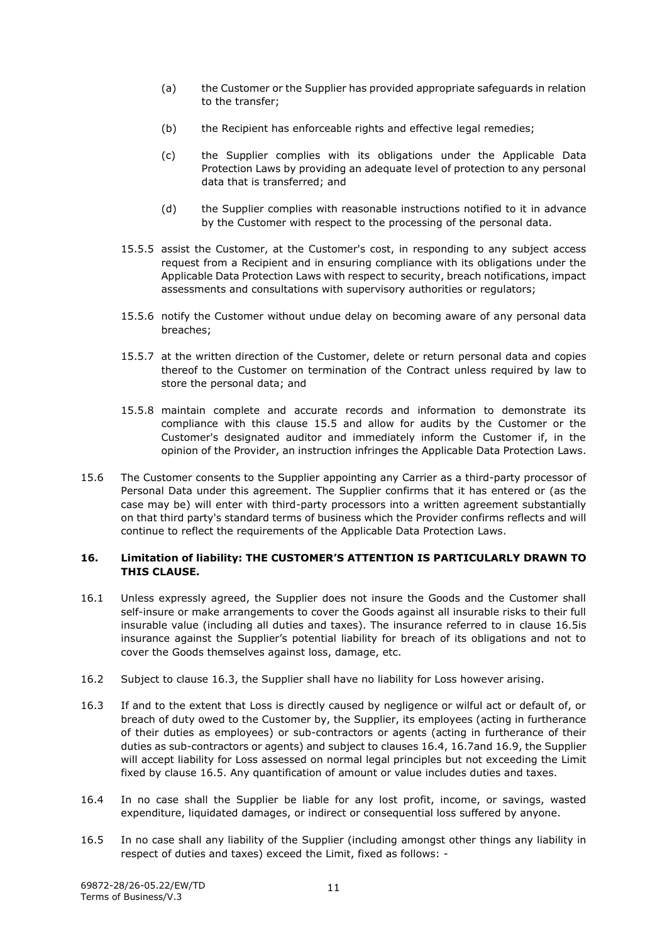- (a) the Customer or the Supplier has provided appropriate safeguards in relation to the transfer;
- (b) the Recipient has enforceable rights and effective legal remedies;
- (c) the Supplier complies with its obligations under the Applicable Data Protection Laws by providing an adequate level of protection to any personal data that is transferred; and
- (d) the Supplier complies with reasonable instructions notified to it in advance by the Customer with respect to the processing of the personal data.
- 15.5.5 assist the Customer, at the Customer's cost, in responding to any subject access request from a Recipient and in ensuring compliance with its obligations under the Applicable Data Protection Laws with respect to security, breach notifications, impact assessments and consultations with supervisory authorities or regulators;
- 15.5.6 notify the Customer without undue delay on becoming aware of any personal data breaches;
- 15.5.7 at the written direction of the Customer, delete or return personal data and copies thereof to the Customer on termination of the Contract unless required by law to store the personal data; and
- 15.5.8 maintain complete and accurate records and information to demonstrate its compliance with this clause 15.5 and allow for audits by the Customer or the Customer's designated auditor and immediately inform the Customer if, in the opinion of the Provider, an instruction infringes the Applicable Data Protection Laws.
- 15.6 The Customer consents to the Supplier appointing any Carrier as a third-party processor of Personal Data under this agreement. The Supplier confirms that it has entered or (as the case may be) will enter with third-party processors into a written agreement substantially on that third party's standard terms of business which the Provider confirms reflects and will continue to reflect the requirements of the Applicable Data Protection Laws.

# <span id="page-10-0"></span>**16. Limitation of liability: THE CUSTOMER'S ATTENTION IS PARTICULARLY DRAWN TO THIS CLAUSE.**

- 16.1 Unless expressly agreed, the Supplier does not insure the Goods and the Customer shall self-insure or make arrangements to cover the Goods against all insurable risks to their full insurable value (including all duties and taxes). The insurance referred to in clause [16.5i](#page-10-1)s insurance against the Supplier's potential liability for breach of its obligations and not to cover the Goods themselves against loss, damage, etc.
- 16.2 Subject to clause [16.3,](#page-10-2) the Supplier shall have no liability for Loss however arising.
- <span id="page-10-2"></span>16.3 If and to the extent that Loss is directly caused by negligence or wilful act or default of, or breach of duty owed to the Customer by, the Supplier, its employees (acting in furtherance of their duties as employees) or sub-contractors or agents (acting in furtherance of their duties as sub-contractors or agents) and subject to clauses [16.4,](#page-10-3) [16.7a](#page-11-0)nd [16.9,](#page-11-1) the Supplier will accept liability for Loss assessed on normal legal principles but not exceeding the Limit fixed by clause [16.5.](#page-10-1) Any quantification of amount or value includes duties and taxes.
- <span id="page-10-3"></span>16.4 In no case shall the Supplier be liable for any lost profit, income, or savings, wasted expenditure, liquidated damages, or indirect or consequential loss suffered by anyone.
- <span id="page-10-1"></span>16.5 In no case shall any liability of the Supplier (including amongst other things any liability in respect of duties and taxes) exceed the Limit, fixed as follows: -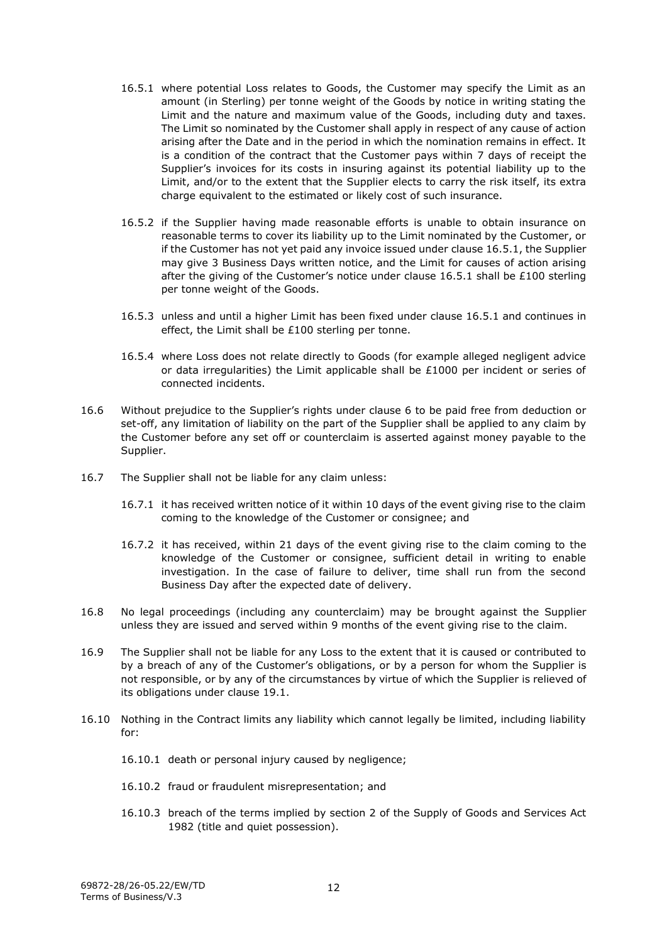- <span id="page-11-2"></span>16.5.1 where potential Loss relates to Goods, the Customer may specify the Limit as an amount (in Sterling) per tonne weight of the Goods by notice in writing stating the Limit and the nature and maximum value of the Goods, including duty and taxes. The Limit so nominated by the Customer shall apply in respect of any cause of action arising after the Date and in the period in which the nomination remains in effect. It is a condition of the contract that the Customer pays within 7 days of receipt the Supplier's invoices for its costs in insuring against its potential liability up to the Limit, and/or to the extent that the Supplier elects to carry the risk itself, its extra charge equivalent to the estimated or likely cost of such insurance.
- 16.5.2 if the Supplier having made reasonable efforts is unable to obtain insurance on reasonable terms to cover its liability up to the Limit nominated by the Customer, or if the Customer has not yet paid any invoice issued under clause [16.5.1,](#page-11-2) the Supplier may give 3 Business Days written notice, and the Limit for causes of action arising after the giving of the Customer's notice under clause [16.5.1](#page-11-2) shall be £100 sterling per tonne weight of the Goods.
- 16.5.3 unless and until a higher Limit has been fixed under clause [16.5.1](#page-11-2) and continues in effect, the Limit shall be £100 sterling per tonne.
- 16.5.4 where Loss does not relate directly to Goods (for example alleged negligent advice or data irregularities) the Limit applicable shall be  $£1000$  per incident or series of connected incidents.
- 16.6 Without prejudice to the Supplier's rights under clause 6 to be paid free from deduction or set-off, any limitation of liability on the part of the Supplier shall be applied to any claim by the Customer before any set off or counterclaim is asserted against money payable to the Supplier.
- <span id="page-11-0"></span>16.7 The Supplier shall not be liable for any claim unless:
	- 16.7.1 it has received written notice of it within 10 days of the event giving rise to the claim coming to the knowledge of the Customer or consignee; and
	- 16.7.2 it has received, within 21 days of the event giving rise to the claim coming to the knowledge of the Customer or consignee, sufficient detail in writing to enable investigation. In the case of failure to deliver, time shall run from the second Business Day after the expected date of delivery.
- 16.8 No legal proceedings (including any counterclaim) may be brought against the Supplier unless they are issued and served within 9 months of the event giving rise to the claim.
- <span id="page-11-1"></span>16.9 The Supplier shall not be liable for any Loss to the extent that it is caused or contributed to by a breach of any of the Customer's obligations, or by a person for whom the Supplier is not responsible, or by any of the circumstances by virtue of which the Supplier is relieved of its obligations under clause [19.1.](#page-13-1)
- 16.10 Nothing in the Contract limits any liability which cannot legally be limited, including liability for:
	- 16.10.1 death or personal injury caused by negligence;
	- 16.10.2 fraud or fraudulent misrepresentation; and
	- 16.10.3 breach of the terms implied by section 2 of the Supply of Goods and Services Act 1982 (title and quiet possession).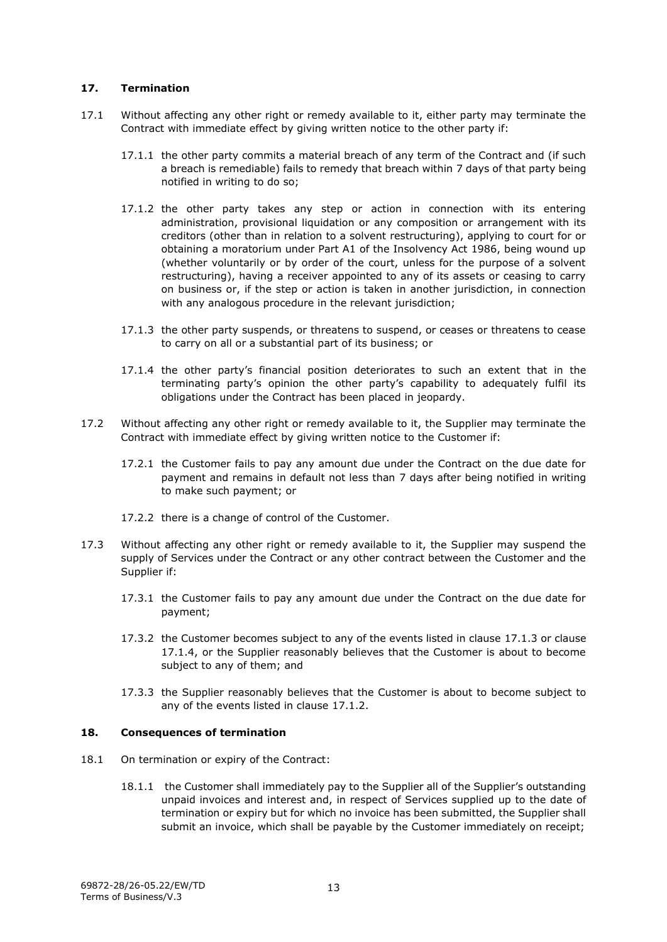#### <span id="page-12-0"></span>**17. Termination**

- <span id="page-12-4"></span>17.1 Without affecting any other right or remedy available to it, either party may terminate the Contract with immediate effect by giving written notice to the other party if:
	- 17.1.1 the other party commits a material breach of any term of the Contract and (if such a breach is remediable) fails to remedy that breach within 7 days of that party being notified in writing to do so;
	- 17.1.2 the other party takes any step or action in connection with its entering administration, provisional liquidation or any composition or arrangement with its creditors (other than in relation to a solvent restructuring), applying to court for or obtaining a moratorium under Part A1 of the Insolvency Act 1986, being wound up (whether voluntarily or by order of the court, unless for the purpose of a solvent restructuring), having a receiver appointed to any of its assets or ceasing to carry on business or, if the step or action is taken in another jurisdiction, in connection with any analogous procedure in the relevant jurisdiction;
	- 17.1.3 the other party suspends, or threatens to suspend, or ceases or threatens to cease to carry on all or a substantial part of its business; or
	- 17.1.4 the other party's financial position deteriorates to such an extent that in the terminating party's opinion the other party's capability to adequately fulfil its obligations under the Contract has been placed in jeopardy.
- <span id="page-12-3"></span><span id="page-12-2"></span>17.2 Without affecting any other right or remedy available to it, the Supplier may terminate the Contract with immediate effect by giving written notice to the Customer if:
	- 17.2.1 the Customer fails to pay any amount due under the Contract on the due date for payment and remains in default not less than 7 days after being notified in writing to make such payment; or
	- 17.2.2 there is a change of control of the Customer.
- 17.3 Without affecting any other right or remedy available to it, the Supplier may suspend the supply of Services under the Contract or any other contract between the Customer and the Supplier if:
	- 17.3.1 the Customer fails to pay any amount due under the Contract on the due date for payment;
	- 17.3.2 the Customer becomes subject to any of the events listed in clause [17.1.3](#page-12-2) or clause [17.1.4,](#page-12-3) or the Supplier reasonably believes that the Customer is about to become subject to any of them; and
	- 17.3.3 the Supplier reasonably believes that the Customer is about to become subject to any of the events listed in clause [17.1.2.](#page-12-4)

# <span id="page-12-1"></span>**18. Consequences of termination**

- 18.1 On termination or expiry of the Contract:
	- 18.1.1 the Customer shall immediately pay to the Supplier all of the Supplier's outstanding unpaid invoices and interest and, in respect of Services supplied up to the date of termination or expiry but for which no invoice has been submitted, the Supplier shall submit an invoice, which shall be payable by the Customer immediately on receipt;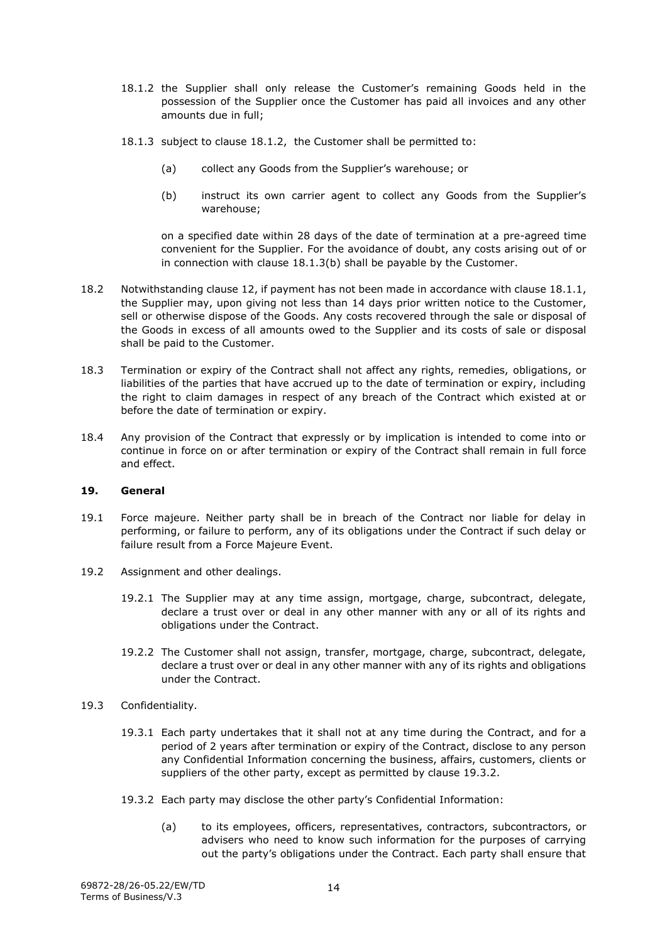- 18.1.2 the Supplier shall only release the Customer's remaining Goods held in the possession of the Supplier once the Customer has paid all invoices and any other amounts due in full;
- 18.1.3 subject to clause 18.1.2, the Customer shall be permitted to:
	- (a) collect any Goods from the Supplier's warehouse; or
	- (b) instruct its own carrier agent to collect any Goods from the Supplier's warehouse;

on a specified date within 28 days of the date of termination at a pre-agreed time convenient for the Supplier. For the avoidance of doubt, any costs arising out of or in connection with clause 18.1.3(b) shall be payable by the Customer.

- 18.2 Notwithstanding clause 12, if payment has not been made in accordance with clause 18.1.1, the Supplier may, upon giving not less than 14 days prior written notice to the Customer, sell or otherwise dispose of the Goods. Any costs recovered through the sale or disposal of the Goods in excess of all amounts owed to the Supplier and its costs of sale or disposal shall be paid to the Customer.
- 18.3 Termination or expiry of the Contract shall not affect any rights, remedies, obligations, or liabilities of the parties that have accrued up to the date of termination or expiry, including the right to claim damages in respect of any breach of the Contract which existed at or before the date of termination or expiry.
- 18.4 Any provision of the Contract that expressly or by implication is intended to come into or continue in force on or after termination or expiry of the Contract shall remain in full force and effect.

#### <span id="page-13-0"></span>**19. General**

- <span id="page-13-1"></span>19.1 Force majeure. Neither party shall be in breach of the Contract nor liable for delay in performing, or failure to perform, any of its obligations under the Contract if such delay or failure result from a Force Majeure Event.
- 19.2 Assignment and other dealings.
	- 19.2.1 The Supplier may at any time assign, mortgage, charge, subcontract, delegate, declare a trust over or deal in any other manner with any or all of its rights and obligations under the Contract.
	- 19.2.2 The Customer shall not assign, transfer, mortgage, charge, subcontract, delegate, declare a trust over or deal in any other manner with any of its rights and obligations under the Contract.
- 19.3 Confidentiality.
	- 19.3.1 Each party undertakes that it shall not at any time during the Contract, and for a period of 2 years after termination or expiry of the Contract, disclose to any person any Confidential Information concerning the business, affairs, customers, clients or suppliers of the other party, except as permitted by clause 19.3.2.
	- 19.3.2 Each party may disclose the other party's Confidential Information:
		- (a) to its employees, officers, representatives, contractors, subcontractors, or advisers who need to know such information for the purposes of carrying out the party's obligations under the Contract. Each party shall ensure that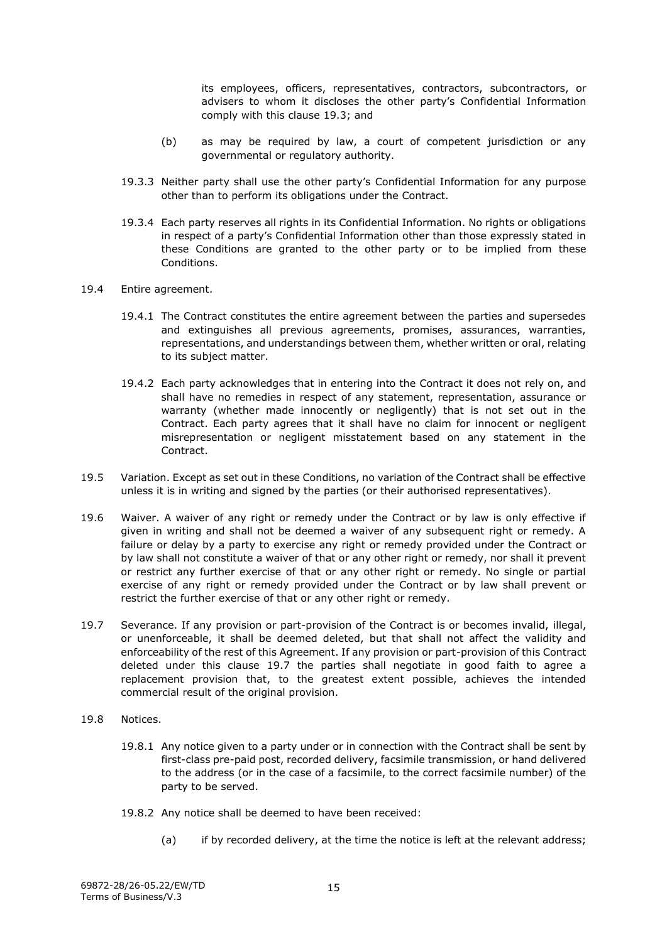its employees, officers, representatives, contractors, subcontractors, or advisers to whom it discloses the other party's Confidential Information comply with this clause 19.3; and

- (b) as may be required by law, a court of competent jurisdiction or any governmental or regulatory authority.
- 19.3.3 Neither party shall use the other party's Confidential Information for any purpose other than to perform its obligations under the Contract.
- 19.3.4 Each party reserves all rights in its Confidential Information. No rights or obligations in respect of a party's Confidential Information other than those expressly stated in these Conditions are granted to the other party or to be implied from these Conditions.
- 19.4 Entire agreement.
	- 19.4.1 The Contract constitutes the entire agreement between the parties and supersedes and extinguishes all previous agreements, promises, assurances, warranties, representations, and understandings between them, whether written or oral, relating to its subject matter.
	- 19.4.2 Each party acknowledges that in entering into the Contract it does not rely on, and shall have no remedies in respect of any statement, representation, assurance or warranty (whether made innocently or negligently) that is not set out in the Contract. Each party agrees that it shall have no claim for innocent or negligent misrepresentation or negligent misstatement based on any statement in the Contract.
- <span id="page-14-0"></span>19.5 Variation. Except as set out in these Conditions, no variation of the Contract shall be effective unless it is in writing and signed by the parties (or their authorised representatives).
- 19.6 Waiver. A waiver of any right or remedy under the Contract or by law is only effective if given in writing and shall not be deemed a waiver of any subsequent right or remedy. A failure or delay by a party to exercise any right or remedy provided under the Contract or by law shall not constitute a waiver of that or any other right or remedy, nor shall it prevent or restrict any further exercise of that or any other right or remedy. No single or partial exercise of any right or remedy provided under the Contract or by law shall prevent or restrict the further exercise of that or any other right or remedy.
- 19.7 Severance. If any provision or part-provision of the Contract is or becomes invalid, illegal, or unenforceable, it shall be deemed deleted, but that shall not affect the validity and enforceability of the rest of this Agreement. If any provision or part-provision of this Contract deleted under this clause 19.7 the parties shall negotiate in good faith to agree a replacement provision that, to the greatest extent possible, achieves the intended commercial result of the original provision.
- 19.8 Notices.
	- 19.8.1 Any notice given to a party under or in connection with the Contract shall be sent by first-class pre-paid post, recorded delivery, facsimile transmission, or hand delivered to the address (or in the case of a facsimile, to the correct facsimile number) of the party to be served.
	- 19.8.2 Any notice shall be deemed to have been received:
		- (a) if by recorded delivery, at the time the notice is left at the relevant address;